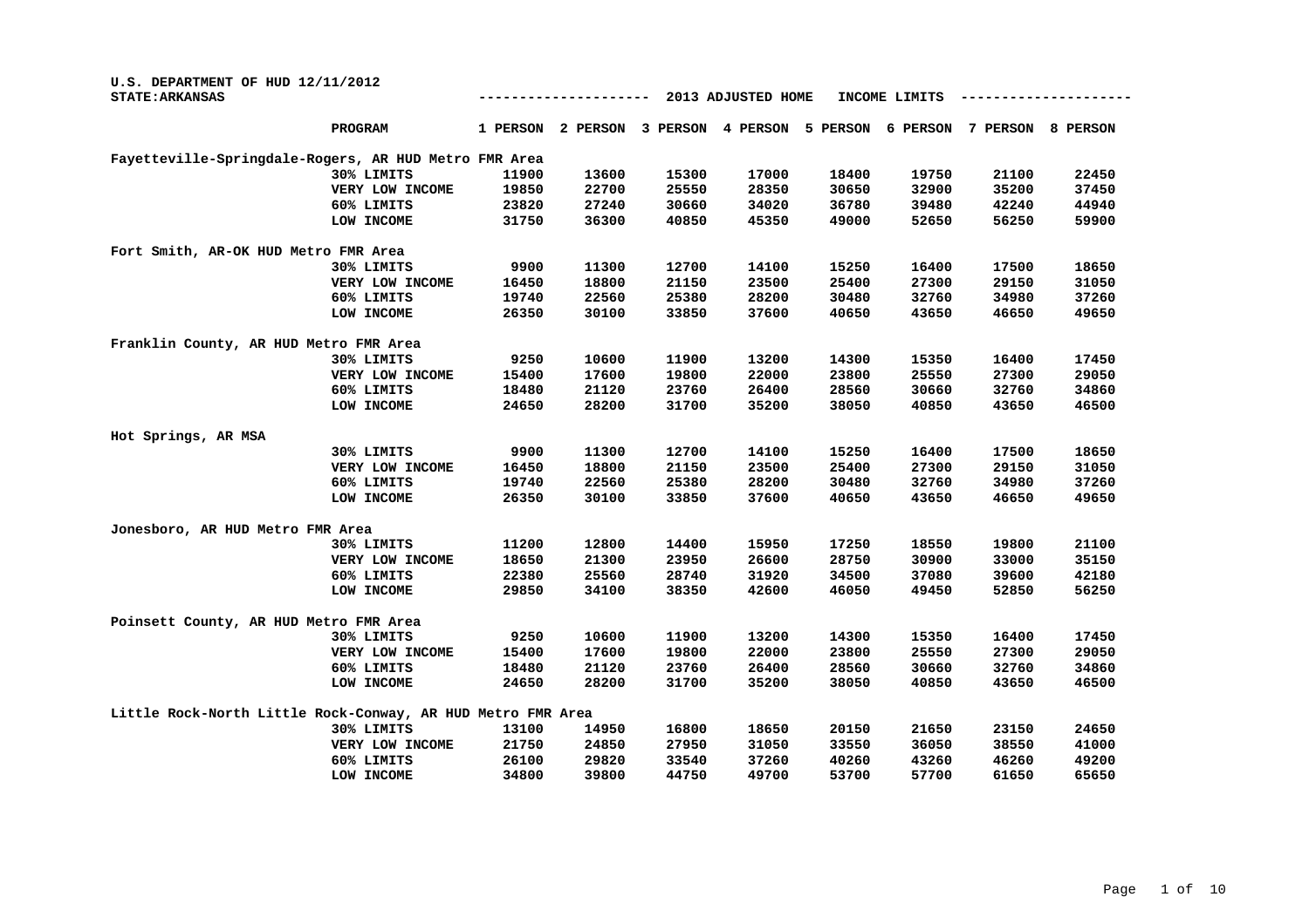| U.S. DEPARTMENT OF HUD 12/11/2012<br><b>STATE: ARKANSAS</b> |          | 2013 ADJUSTED HOME<br>INCOME LIMITS |          |          |          |          |          |          |  |  |
|-------------------------------------------------------------|----------|-------------------------------------|----------|----------|----------|----------|----------|----------|--|--|
| PROGRAM                                                     | 1 PERSON | 2 PERSON                            | 3 PERSON | 4 PERSON | 5 PERSON | 6 PERSON | 7 PERSON | 8 PERSON |  |  |
| Fayetteville-Springdale-Rogers, AR HUD Metro FMR Area       |          |                                     |          |          |          |          |          |          |  |  |
| 30% LIMITS                                                  | 11900    | 13600                               | 15300    | 17000    | 18400    | 19750    | 21100    | 22450    |  |  |
| VERY LOW INCOME                                             | 19850    | 22700                               | 25550    | 28350    | 30650    | 32900    | 35200    | 37450    |  |  |
| 60% LIMITS                                                  | 23820    | 27240                               | 30660    | 34020    | 36780    | 39480    | 42240    | 44940    |  |  |
| LOW INCOME                                                  | 31750    | 36300                               | 40850    | 45350    | 49000    | 52650    | 56250    | 59900    |  |  |
| Fort Smith, AR-OK HUD Metro FMR Area                        |          |                                     |          |          |          |          |          |          |  |  |
| 30% LIMITS                                                  | 9900     | 11300                               | 12700    | 14100    | 15250    | 16400    | 17500    | 18650    |  |  |
| VERY LOW INCOME                                             | 16450    | 18800                               | 21150    | 23500    | 25400    | 27300    | 29150    | 31050    |  |  |
| 60% LIMITS                                                  | 19740    | 22560                               | 25380    | 28200    | 30480    | 32760    | 34980    | 37260    |  |  |
| LOW INCOME                                                  | 26350    | 30100                               | 33850    | 37600    | 40650    | 43650    | 46650    | 49650    |  |  |
| Franklin County, AR HUD Metro FMR Area                      |          |                                     |          |          |          |          |          |          |  |  |
| 30% LIMITS                                                  | 9250     | 10600                               | 11900    | 13200    | 14300    | 15350    | 16400    | 17450    |  |  |
| VERY LOW INCOME                                             | 15400    | 17600                               | 19800    | 22000    | 23800    | 25550    | 27300    | 29050    |  |  |
| 60% LIMITS                                                  | 18480    | 21120                               | 23760    | 26400    | 28560    | 30660    | 32760    | 34860    |  |  |
| LOW INCOME                                                  | 24650    | 28200                               | 31700    | 35200    | 38050    | 40850    | 43650    | 46500    |  |  |
| Hot Springs, AR MSA                                         |          |                                     |          |          |          |          |          |          |  |  |
| 30% LIMITS                                                  | 9900     | 11300                               | 12700    | 14100    | 15250    | 16400    | 17500    | 18650    |  |  |
| VERY LOW INCOME                                             | 16450    | 18800                               | 21150    | 23500    | 25400    | 27300    | 29150    | 31050    |  |  |
| 60% LIMITS                                                  | 19740    | 22560                               | 25380    | 28200    | 30480    | 32760    | 34980    | 37260    |  |  |
| LOW INCOME                                                  | 26350    | 30100                               | 33850    | 37600    | 40650    | 43650    | 46650    | 49650    |  |  |
| Jonesboro, AR HUD Metro FMR Area                            |          |                                     |          |          |          |          |          |          |  |  |
| 30% LIMITS                                                  | 11200    | 12800                               | 14400    | 15950    | 17250    | 18550    | 19800    | 21100    |  |  |
| VERY LOW INCOME                                             | 18650    | 21300                               | 23950    | 26600    | 28750    | 30900    | 33000    | 35150    |  |  |
| 60% LIMITS                                                  | 22380    | 25560                               | 28740    | 31920    | 34500    | 37080    | 39600    | 42180    |  |  |
| LOW INCOME                                                  | 29850    | 34100                               | 38350    | 42600    | 46050    | 49450    | 52850    | 56250    |  |  |
| Poinsett County, AR HUD Metro FMR Area                      |          |                                     |          |          |          |          |          |          |  |  |
| 30% LIMITS                                                  | 9250     | 10600                               | 11900    | 13200    | 14300    | 15350    | 16400    | 17450    |  |  |
| VERY LOW INCOME                                             | 15400    | 17600                               | 19800    | 22000    | 23800    | 25550    | 27300    | 29050    |  |  |
| 60% LIMITS                                                  | 18480    | 21120                               | 23760    | 26400    | 28560    | 30660    | 32760    | 34860    |  |  |
| LOW INCOME                                                  | 24650    | 28200                               | 31700    | 35200    | 38050    | 40850    | 43650    | 46500    |  |  |
| Little Rock-North Little Rock-Conway, AR HUD Metro FMR Area |          |                                     |          |          |          |          |          |          |  |  |
| 30% LIMITS                                                  | 13100    | 14950                               | 16800    | 18650    | 20150    | 21650    | 23150    | 24650    |  |  |
| VERY LOW INCOME                                             | 21750    | 24850                               | 27950    | 31050    | 33550    | 36050    | 38550    | 41000    |  |  |
| 60% LIMITS                                                  | 26100    | 29820                               | 33540    | 37260    | 40260    | 43260    | 46260    | 49200    |  |  |
| LOW INCOME                                                  | 34800    | 39800                               | 44750    | 49700    | 53700    | 57700    | 61650    | 65650    |  |  |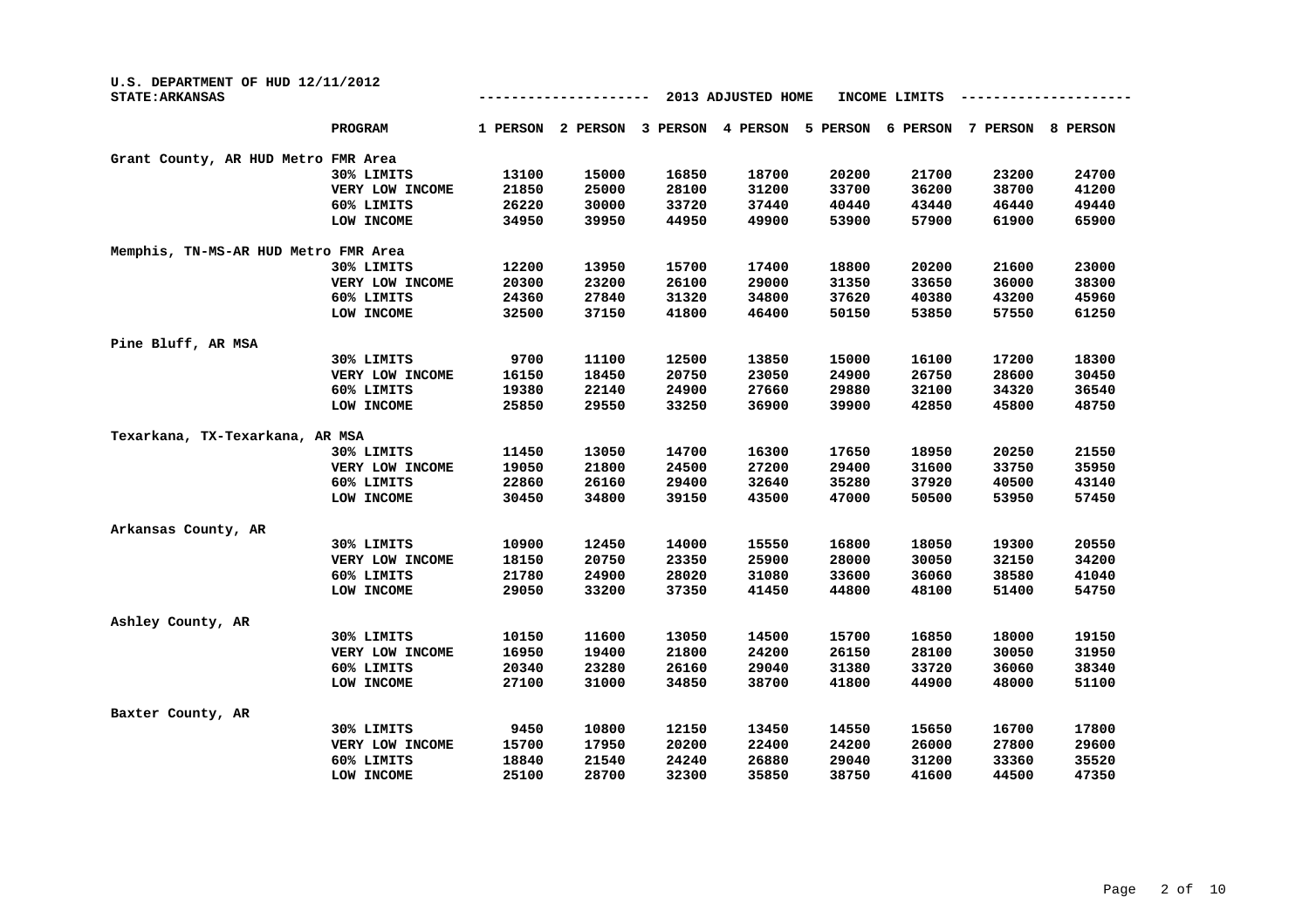| U.S. DEPARTMENT OF HUD 12/11/2012<br><b>STATE: ARKANSAS</b> |                 | 2013 ADJUSTED HOME<br>INCOME LIMITS |          |          |          |          |          |          |          |  |
|-------------------------------------------------------------|-----------------|-------------------------------------|----------|----------|----------|----------|----------|----------|----------|--|
|                                                             | PROGRAM         | 1 PERSON                            | 2 PERSON | 3 PERSON | 4 PERSON | 5 PERSON | 6 PERSON | 7 PERSON | 8 PERSON |  |
| Grant County, AR HUD Metro FMR Area                         |                 |                                     |          |          |          |          |          |          |          |  |
|                                                             | 30% LIMITS      | 13100                               | 15000    | 16850    | 18700    | 20200    | 21700    | 23200    | 24700    |  |
|                                                             | VERY LOW INCOME | 21850                               | 25000    | 28100    | 31200    | 33700    | 36200    | 38700    | 41200    |  |
|                                                             | 60% LIMITS      | 26220                               | 30000    | 33720    | 37440    | 40440    | 43440    | 46440    | 49440    |  |
|                                                             | LOW INCOME      | 34950                               | 39950    | 44950    | 49900    | 53900    | 57900    | 61900    | 65900    |  |
| Memphis, TN-MS-AR HUD Metro FMR Area                        |                 |                                     |          |          |          |          |          |          |          |  |
|                                                             | 30% LIMITS      | 12200                               | 13950    | 15700    | 17400    | 18800    | 20200    | 21600    | 23000    |  |
|                                                             | VERY LOW INCOME | 20300                               | 23200    | 26100    | 29000    | 31350    | 33650    | 36000    | 38300    |  |
|                                                             | 60% LIMITS      | 24360                               | 27840    | 31320    | 34800    | 37620    | 40380    | 43200    | 45960    |  |
|                                                             | LOW INCOME      | 32500                               | 37150    | 41800    | 46400    | 50150    | 53850    | 57550    | 61250    |  |
| Pine Bluff, AR MSA                                          |                 |                                     |          |          |          |          |          |          |          |  |
|                                                             | 30% LIMITS      | 9700                                | 11100    | 12500    | 13850    | 15000    | 16100    | 17200    | 18300    |  |
|                                                             | VERY LOW INCOME | 16150                               | 18450    | 20750    | 23050    | 24900    | 26750    | 28600    | 30450    |  |
|                                                             | 60% LIMITS      | 19380                               | 22140    | 24900    | 27660    | 29880    | 32100    | 34320    | 36540    |  |
|                                                             | LOW INCOME      | 25850                               | 29550    | 33250    | 36900    | 39900    | 42850    | 45800    | 48750    |  |
| Texarkana, TX-Texarkana, AR MSA                             |                 |                                     |          |          |          |          |          |          |          |  |
|                                                             | 30% LIMITS      | 11450                               | 13050    | 14700    | 16300    | 17650    | 18950    | 20250    | 21550    |  |
|                                                             | VERY LOW INCOME | 19050                               | 21800    | 24500    | 27200    | 29400    | 31600    | 33750    | 35950    |  |
|                                                             | 60% LIMITS      | 22860                               | 26160    | 29400    | 32640    | 35280    | 37920    | 40500    | 43140    |  |
|                                                             | LOW INCOME      | 30450                               | 34800    | 39150    | 43500    | 47000    | 50500    | 53950    | 57450    |  |
| Arkansas County, AR                                         |                 |                                     |          |          |          |          |          |          |          |  |
|                                                             | 30% LIMITS      | 10900                               | 12450    | 14000    | 15550    | 16800    | 18050    | 19300    | 20550    |  |
|                                                             | VERY LOW INCOME | 18150                               | 20750    | 23350    | 25900    | 28000    | 30050    | 32150    | 34200    |  |
|                                                             | 60% LIMITS      | 21780                               | 24900    | 28020    | 31080    | 33600    | 36060    | 38580    | 41040    |  |
|                                                             | LOW INCOME      | 29050                               | 33200    | 37350    | 41450    | 44800    | 48100    | 51400    | 54750    |  |
| Ashley County, AR                                           |                 |                                     |          |          |          |          |          |          |          |  |
|                                                             | 30% LIMITS      | 10150                               | 11600    | 13050    | 14500    | 15700    | 16850    | 18000    | 19150    |  |
|                                                             | VERY LOW INCOME | 16950                               | 19400    | 21800    | 24200    | 26150    | 28100    | 30050    | 31950    |  |
|                                                             | 60% LIMITS      | 20340                               | 23280    | 26160    | 29040    | 31380    | 33720    | 36060    | 38340    |  |
|                                                             | LOW INCOME      | 27100                               | 31000    | 34850    | 38700    | 41800    | 44900    | 48000    | 51100    |  |
| Baxter County, AR                                           |                 |                                     |          |          |          |          |          |          |          |  |
|                                                             | 30% LIMITS      | 9450                                | 10800    | 12150    | 13450    | 14550    | 15650    | 16700    | 17800    |  |
|                                                             | VERY LOW INCOME | 15700                               | 17950    | 20200    | 22400    | 24200    | 26000    | 27800    | 29600    |  |
|                                                             | 60% LIMITS      | 18840                               | 21540    | 24240    | 26880    | 29040    | 31200    | 33360    | 35520    |  |
|                                                             | LOW INCOME      | 25100                               | 28700    | 32300    | 35850    | 38750    | 41600    | 44500    | 47350    |  |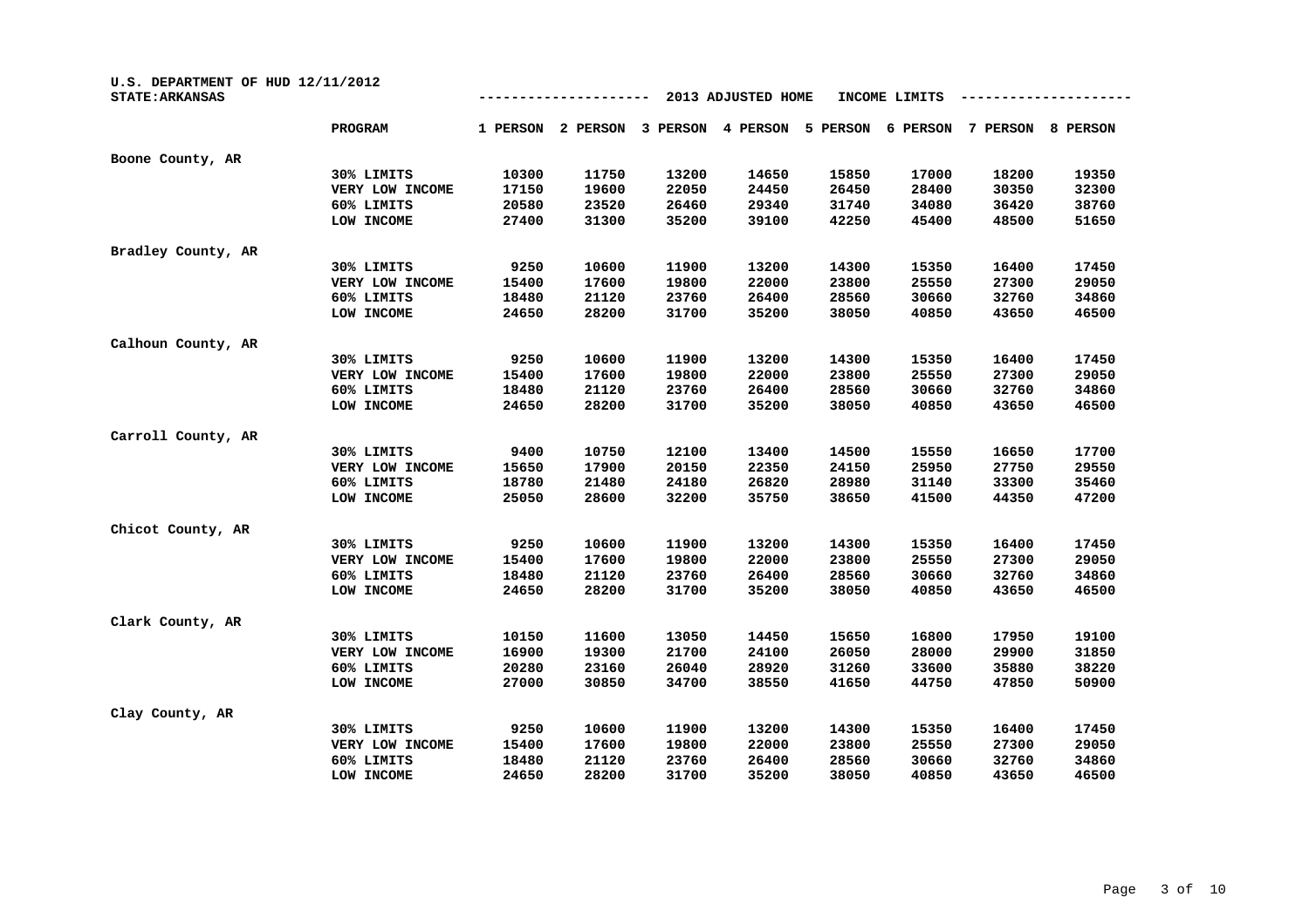| U.S. DEPARTMENT OF HUD 12/11/2012<br><b>STATE: ARKANSAS</b> |                 |          |          |          |          |          |          |          |          |
|-------------------------------------------------------------|-----------------|----------|----------|----------|----------|----------|----------|----------|----------|
|                                                             | PROGRAM         | 1 PERSON | 2 PERSON | 3 PERSON | 4 PERSON | 5 PERSON | 6 PERSON | 7 PERSON | 8 PERSON |
| Boone County, AR                                            |                 |          |          |          |          |          |          |          |          |
|                                                             | 30% LIMITS      | 10300    | 11750    | 13200    | 14650    | 15850    | 17000    | 18200    | 19350    |
|                                                             | VERY LOW INCOME | 17150    | 19600    | 22050    | 24450    | 26450    | 28400    | 30350    | 32300    |
|                                                             | 60% LIMITS      | 20580    | 23520    | 26460    | 29340    | 31740    | 34080    | 36420    | 38760    |
|                                                             | LOW INCOME      | 27400    | 31300    | 35200    | 39100    | 42250    | 45400    | 48500    | 51650    |
| Bradley County, AR                                          |                 |          |          |          |          |          |          |          |          |
|                                                             | 30% LIMITS      | 9250     | 10600    | 11900    | 13200    | 14300    | 15350    | 16400    | 17450    |
|                                                             | VERY LOW INCOME | 15400    | 17600    | 19800    | 22000    | 23800    | 25550    | 27300    | 29050    |
|                                                             | 60% LIMITS      | 18480    | 21120    | 23760    | 26400    | 28560    | 30660    | 32760    | 34860    |
|                                                             | LOW INCOME      | 24650    | 28200    | 31700    | 35200    | 38050    | 40850    | 43650    | 46500    |
| Calhoun County, AR                                          |                 |          |          |          |          |          |          |          |          |
|                                                             | 30% LIMITS      | 9250     | 10600    | 11900    | 13200    | 14300    | 15350    | 16400    | 17450    |
|                                                             | VERY LOW INCOME | 15400    | 17600    | 19800    | 22000    | 23800    | 25550    | 27300    | 29050    |
|                                                             | 60% LIMITS      | 18480    | 21120    | 23760    | 26400    | 28560    | 30660    | 32760    | 34860    |
|                                                             | LOW INCOME      | 24650    | 28200    | 31700    | 35200    | 38050    | 40850    | 43650    | 46500    |
| Carroll County, AR                                          |                 |          |          |          |          |          |          |          |          |
|                                                             | 30% LIMITS      | 9400     | 10750    | 12100    | 13400    | 14500    | 15550    | 16650    | 17700    |
|                                                             | VERY LOW INCOME | 15650    | 17900    | 20150    | 22350    | 24150    | 25950    | 27750    | 29550    |
|                                                             | 60% LIMITS      | 18780    | 21480    | 24180    | 26820    | 28980    | 31140    | 33300    | 35460    |
|                                                             | LOW INCOME      | 25050    | 28600    | 32200    | 35750    | 38650    | 41500    | 44350    | 47200    |
| Chicot County, AR                                           |                 |          |          |          |          |          |          |          |          |
|                                                             | 30% LIMITS      | 9250     | 10600    | 11900    | 13200    | 14300    | 15350    | 16400    | 17450    |
|                                                             | VERY LOW INCOME | 15400    | 17600    | 19800    | 22000    | 23800    | 25550    | 27300    | 29050    |
|                                                             | 60% LIMITS      | 18480    | 21120    | 23760    | 26400    | 28560    | 30660    | 32760    | 34860    |
|                                                             | LOW INCOME      | 24650    | 28200    | 31700    | 35200    | 38050    | 40850    | 43650    | 46500    |
| Clark County, AR                                            |                 |          |          |          |          |          |          |          |          |
|                                                             | 30% LIMITS      | 10150    | 11600    | 13050    | 14450    | 15650    | 16800    | 17950    | 19100    |
|                                                             | VERY LOW INCOME | 16900    | 19300    | 21700    | 24100    | 26050    | 28000    | 29900    | 31850    |
|                                                             | 60% LIMITS      | 20280    | 23160    | 26040    | 28920    | 31260    | 33600    | 35880    | 38220    |
|                                                             | LOW INCOME      | 27000    | 30850    | 34700    | 38550    | 41650    | 44750    | 47850    | 50900    |
| Clay County, AR                                             |                 |          |          |          |          |          |          |          |          |
|                                                             | 30% LIMITS      | 9250     | 10600    | 11900    | 13200    | 14300    | 15350    | 16400    | 17450    |
|                                                             | VERY LOW INCOME | 15400    | 17600    | 19800    | 22000    | 23800    | 25550    | 27300    | 29050    |
|                                                             | 60% LIMITS      | 18480    | 21120    | 23760    | 26400    | 28560    | 30660    | 32760    | 34860    |
|                                                             | LOW INCOME      | 24650    | 28200    | 31700    | 35200    | 38050    | 40850    | 43650    | 46500    |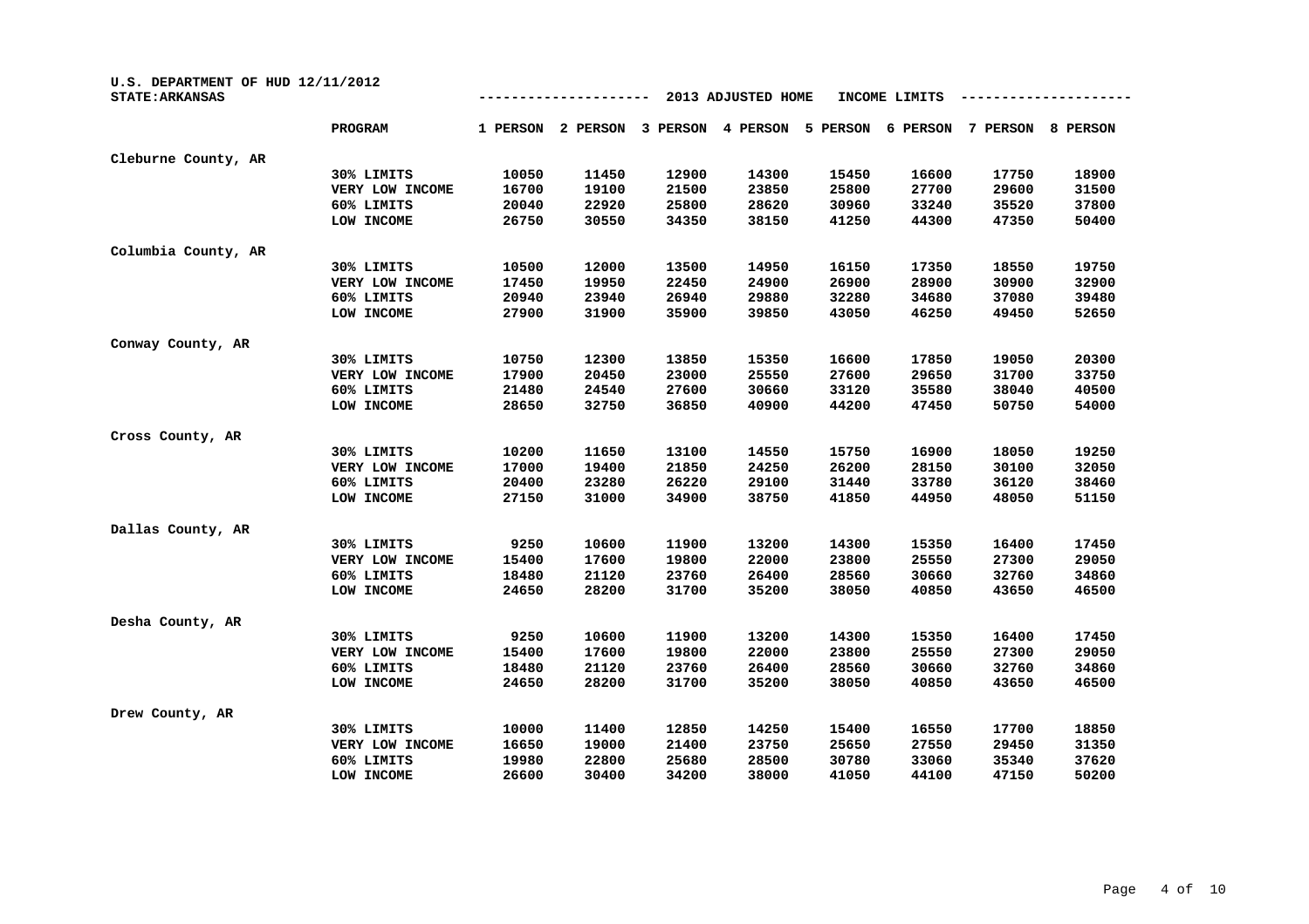| U.S. DEPARTMENT OF HUD 12/11/2012<br><b>STATE: ARKANSAS</b> | 2013 ADJUSTED HOME<br>INCOME LIMITS |          |          |          |          |          |          |          |          |
|-------------------------------------------------------------|-------------------------------------|----------|----------|----------|----------|----------|----------|----------|----------|
|                                                             | PROGRAM                             | 1 PERSON | 2 PERSON | 3 PERSON | 4 PERSON | 5 PERSON | 6 PERSON | 7 PERSON | 8 PERSON |
| Cleburne County, AR                                         |                                     |          |          |          |          |          |          |          |          |
|                                                             | 30% LIMITS                          | 10050    | 11450    | 12900    | 14300    | 15450    | 16600    | 17750    | 18900    |
|                                                             | VERY LOW INCOME                     | 16700    | 19100    | 21500    | 23850    | 25800    | 27700    | 29600    | 31500    |
|                                                             | 60% LIMITS                          | 20040    | 22920    | 25800    | 28620    | 30960    | 33240    | 35520    | 37800    |
|                                                             | LOW INCOME                          | 26750    | 30550    | 34350    | 38150    | 41250    | 44300    | 47350    | 50400    |
| Columbia County, AR                                         |                                     |          |          |          |          |          |          |          |          |
|                                                             | 30% LIMITS                          | 10500    | 12000    | 13500    | 14950    | 16150    | 17350    | 18550    | 19750    |
|                                                             | VERY LOW INCOME                     | 17450    | 19950    | 22450    | 24900    | 26900    | 28900    | 30900    | 32900    |
|                                                             | 60% LIMITS                          | 20940    | 23940    | 26940    | 29880    | 32280    | 34680    | 37080    | 39480    |
|                                                             | LOW INCOME                          | 27900    | 31900    | 35900    | 39850    | 43050    | 46250    | 49450    | 52650    |
| Conway County, AR                                           |                                     |          |          |          |          |          |          |          |          |
|                                                             | 30% LIMITS                          | 10750    | 12300    | 13850    | 15350    | 16600    | 17850    | 19050    | 20300    |
|                                                             | VERY LOW INCOME                     | 17900    | 20450    | 23000    | 25550    | 27600    | 29650    | 31700    | 33750    |
|                                                             | 60% LIMITS                          | 21480    | 24540    | 27600    | 30660    | 33120    | 35580    | 38040    | 40500    |
|                                                             | LOW INCOME                          | 28650    | 32750    | 36850    | 40900    | 44200    | 47450    | 50750    | 54000    |
| Cross County, AR                                            |                                     |          |          |          |          |          |          |          |          |
|                                                             | 30% LIMITS                          | 10200    | 11650    | 13100    | 14550    | 15750    | 16900    | 18050    | 19250    |
|                                                             | VERY LOW INCOME                     | 17000    | 19400    | 21850    | 24250    | 26200    | 28150    | 30100    | 32050    |
|                                                             | 60% LIMITS                          | 20400    | 23280    | 26220    | 29100    | 31440    | 33780    | 36120    | 38460    |
|                                                             | LOW INCOME                          | 27150    | 31000    | 34900    | 38750    | 41850    | 44950    | 48050    | 51150    |
| Dallas County, AR                                           |                                     |          |          |          |          |          |          |          |          |
|                                                             | 30% LIMITS                          | 9250     | 10600    | 11900    | 13200    | 14300    | 15350    | 16400    | 17450    |
|                                                             | VERY LOW INCOME                     | 15400    | 17600    | 19800    | 22000    | 23800    | 25550    | 27300    | 29050    |
|                                                             | 60% LIMITS                          | 18480    | 21120    | 23760    | 26400    | 28560    | 30660    | 32760    | 34860    |
|                                                             | LOW INCOME                          | 24650    | 28200    | 31700    | 35200    | 38050    | 40850    | 43650    | 46500    |
| Desha County, AR                                            |                                     |          |          |          |          |          |          |          |          |
|                                                             | 30% LIMITS                          | 9250     | 10600    | 11900    | 13200    | 14300    | 15350    | 16400    | 17450    |
|                                                             | VERY LOW INCOME                     | 15400    | 17600    | 19800    | 22000    | 23800    | 25550    | 27300    | 29050    |
|                                                             | 60% LIMITS                          | 18480    | 21120    | 23760    | 26400    | 28560    | 30660    | 32760    | 34860    |
|                                                             | LOW INCOME                          | 24650    | 28200    | 31700    | 35200    | 38050    | 40850    | 43650    | 46500    |
| Drew County, AR                                             |                                     |          |          |          |          |          |          |          |          |
|                                                             | 30% LIMITS                          | 10000    | 11400    | 12850    | 14250    | 15400    | 16550    | 17700    | 18850    |
|                                                             | VERY LOW INCOME                     | 16650    | 19000    | 21400    | 23750    | 25650    | 27550    | 29450    | 31350    |
|                                                             | 60% LIMITS                          | 19980    | 22800    | 25680    | 28500    | 30780    | 33060    | 35340    | 37620    |
|                                                             | LOW INCOME                          | 26600    | 30400    | 34200    | 38000    | 41050    | 44100    | 47150    | 50200    |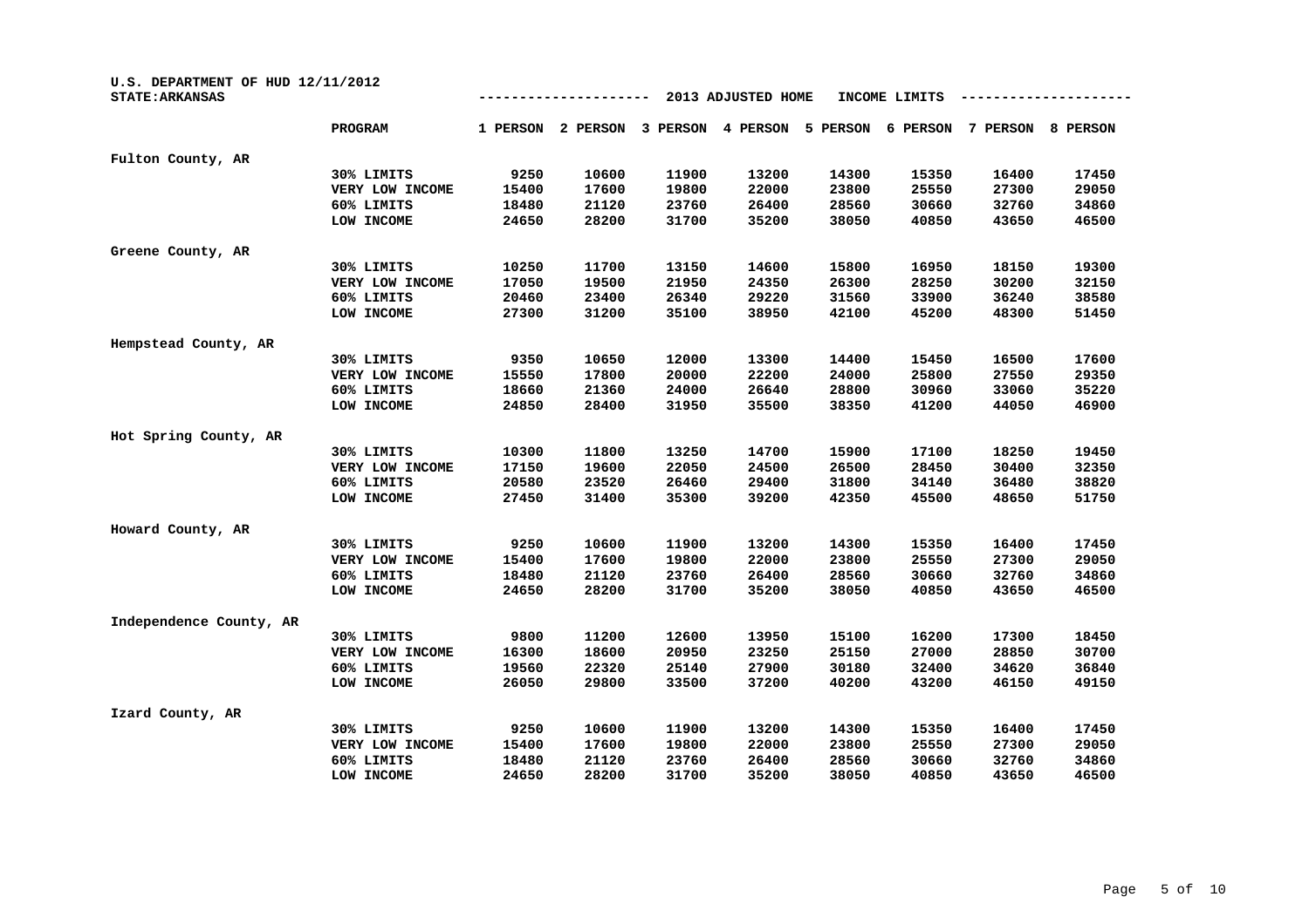| U.S. DEPARTMENT OF HUD 12/11/2012<br><b>STATE: ARKANSAS</b> |                 |          |          | INCOME LIMITS |          |          |          |          |          |
|-------------------------------------------------------------|-----------------|----------|----------|---------------|----------|----------|----------|----------|----------|
|                                                             | PROGRAM         | 1 PERSON | 2 PERSON | 3 PERSON      | 4 PERSON | 5 PERSON | 6 PERSON | 7 PERSON | 8 PERSON |
| Fulton County, AR                                           |                 |          |          |               |          |          |          |          |          |
|                                                             | 30% LIMITS      | 9250     | 10600    | 11900         | 13200    | 14300    | 15350    | 16400    | 17450    |
|                                                             | VERY LOW INCOME | 15400    | 17600    | 19800         | 22000    | 23800    | 25550    | 27300    | 29050    |
|                                                             | 60% LIMITS      | 18480    | 21120    | 23760         | 26400    | 28560    | 30660    | 32760    | 34860    |
|                                                             | LOW INCOME      | 24650    | 28200    | 31700         | 35200    | 38050    | 40850    | 43650    | 46500    |
| Greene County, AR                                           |                 |          |          |               |          |          |          |          |          |
|                                                             | 30% LIMITS      | 10250    | 11700    | 13150         | 14600    | 15800    | 16950    | 18150    | 19300    |
|                                                             | VERY LOW INCOME | 17050    | 19500    | 21950         | 24350    | 26300    | 28250    | 30200    | 32150    |
|                                                             | 60% LIMITS      | 20460    | 23400    | 26340         | 29220    | 31560    | 33900    | 36240    | 38580    |
|                                                             | LOW INCOME      | 27300    | 31200    | 35100         | 38950    | 42100    | 45200    | 48300    | 51450    |
| Hempstead County, AR                                        |                 |          |          |               |          |          |          |          |          |
|                                                             | 30% LIMITS      | 9350     | 10650    | 12000         | 13300    | 14400    | 15450    | 16500    | 17600    |
|                                                             | VERY LOW INCOME | 15550    | 17800    | 20000         | 22200    | 24000    | 25800    | 27550    | 29350    |
|                                                             | 60% LIMITS      | 18660    | 21360    | 24000         | 26640    | 28800    | 30960    | 33060    | 35220    |
|                                                             | LOW INCOME      | 24850    | 28400    | 31950         | 35500    | 38350    | 41200    | 44050    | 46900    |
| Hot Spring County, AR                                       |                 |          |          |               |          |          |          |          |          |
|                                                             | 30% LIMITS      | 10300    | 11800    | 13250         | 14700    | 15900    | 17100    | 18250    | 19450    |
|                                                             | VERY LOW INCOME | 17150    | 19600    | 22050         | 24500    | 26500    | 28450    | 30400    | 32350    |
|                                                             | 60% LIMITS      | 20580    | 23520    | 26460         | 29400    | 31800    | 34140    | 36480    | 38820    |
|                                                             | LOW INCOME      | 27450    | 31400    | 35300         | 39200    | 42350    | 45500    | 48650    | 51750    |
| Howard County, AR                                           |                 |          |          |               |          |          |          |          |          |
|                                                             | 30% LIMITS      | 9250     | 10600    | 11900         | 13200    | 14300    | 15350    | 16400    | 17450    |
|                                                             | VERY LOW INCOME | 15400    | 17600    | 19800         | 22000    | 23800    | 25550    | 27300    | 29050    |
|                                                             | 60% LIMITS      | 18480    | 21120    | 23760         | 26400    | 28560    | 30660    | 32760    | 34860    |
|                                                             | LOW INCOME      | 24650    | 28200    | 31700         | 35200    | 38050    | 40850    | 43650    | 46500    |
| Independence County, AR                                     |                 |          |          |               |          |          |          |          |          |
|                                                             | 30% LIMITS      | 9800     | 11200    | 12600         | 13950    | 15100    | 16200    | 17300    | 18450    |
|                                                             | VERY LOW INCOME | 16300    | 18600    | 20950         | 23250    | 25150    | 27000    | 28850    | 30700    |
|                                                             | 60% LIMITS      | 19560    | 22320    | 25140         | 27900    | 30180    | 32400    | 34620    | 36840    |
|                                                             | LOW INCOME      | 26050    | 29800    | 33500         | 37200    | 40200    | 43200    | 46150    | 49150    |
| Izard County, AR                                            |                 |          |          |               |          |          |          |          |          |
|                                                             | 30% LIMITS      | 9250     | 10600    | 11900         | 13200    | 14300    | 15350    | 16400    | 17450    |
|                                                             | VERY LOW INCOME | 15400    | 17600    | 19800         | 22000    | 23800    | 25550    | 27300    | 29050    |
|                                                             | 60% LIMITS      | 18480    | 21120    | 23760         | 26400    | 28560    | 30660    | 32760    | 34860    |
|                                                             | LOW INCOME      | 24650    | 28200    | 31700         | 35200    | 38050    | 40850    | 43650    | 46500    |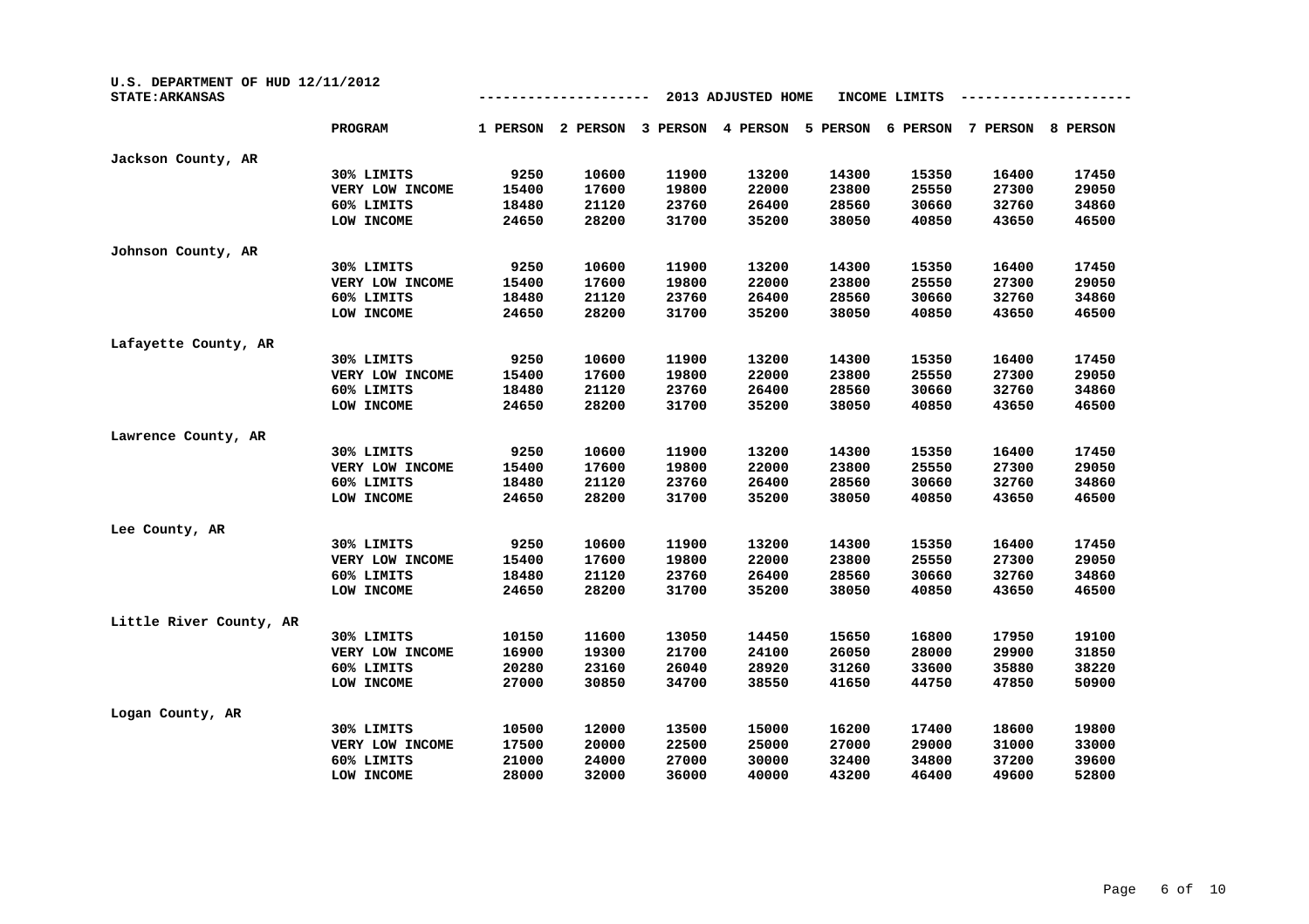| U.S. DEPARTMENT OF HUD 12/11/2012<br><b>STATE: ARKANSAS</b> |                 |          |          |          | 2013 ADJUSTED HOME |          | INCOME LIMITS |          |                 |
|-------------------------------------------------------------|-----------------|----------|----------|----------|--------------------|----------|---------------|----------|-----------------|
|                                                             | PROGRAM         | 1 PERSON | 2 PERSON | 3 PERSON | 4 PERSON           | 5 PERSON | 6 PERSON      | 7 PERSON | <b>8 PERSON</b> |
| Jackson County, AR                                          |                 |          |          |          |                    |          |               |          |                 |
|                                                             | 30% LIMITS      | 9250     | 10600    | 11900    | 13200              | 14300    | 15350         | 16400    | 17450           |
|                                                             | VERY LOW INCOME | 15400    | 17600    | 19800    | 22000              | 23800    | 25550         | 27300    | 29050           |
|                                                             | 60% LIMITS      | 18480    | 21120    | 23760    | 26400              | 28560    | 30660         | 32760    | 34860           |
|                                                             | LOW INCOME      | 24650    | 28200    | 31700    | 35200              | 38050    | 40850         | 43650    | 46500           |
| Johnson County, AR                                          |                 |          |          |          |                    |          |               |          |                 |
|                                                             | 30% LIMITS      | 9250     | 10600    | 11900    | 13200              | 14300    | 15350         | 16400    | 17450           |
|                                                             | VERY LOW INCOME | 15400    | 17600    | 19800    | 22000              | 23800    | 25550         | 27300    | 29050           |
|                                                             | 60% LIMITS      | 18480    | 21120    | 23760    | 26400              | 28560    | 30660         | 32760    | 34860           |
|                                                             | LOW INCOME      | 24650    | 28200    | 31700    | 35200              | 38050    | 40850         | 43650    | 46500           |
| Lafayette County, AR                                        |                 |          |          |          |                    |          |               |          |                 |
|                                                             | 30% LIMITS      | 9250     | 10600    | 11900    | 13200              | 14300    | 15350         | 16400    | 17450           |
|                                                             | VERY LOW INCOME | 15400    | 17600    | 19800    | 22000              | 23800    | 25550         | 27300    | 29050           |
|                                                             | 60% LIMITS      | 18480    | 21120    | 23760    | 26400              | 28560    | 30660         | 32760    | 34860           |
|                                                             | LOW INCOME      | 24650    | 28200    | 31700    | 35200              | 38050    | 40850         | 43650    | 46500           |
| Lawrence County, AR                                         |                 |          |          |          |                    |          |               |          |                 |
|                                                             | 30% LIMITS      | 9250     | 10600    | 11900    | 13200              | 14300    | 15350         | 16400    | 17450           |
|                                                             | VERY LOW INCOME | 15400    | 17600    | 19800    | 22000              | 23800    | 25550         | 27300    | 29050           |
|                                                             | 60% LIMITS      | 18480    | 21120    | 23760    | 26400              | 28560    | 30660         | 32760    | 34860           |
|                                                             | LOW INCOME      | 24650    | 28200    | 31700    | 35200              | 38050    | 40850         | 43650    | 46500           |
| Lee County, AR                                              |                 |          |          |          |                    |          |               |          |                 |
|                                                             | 30% LIMITS      | 9250     | 10600    | 11900    | 13200              | 14300    | 15350         | 16400    | 17450           |
|                                                             | VERY LOW INCOME | 15400    | 17600    | 19800    | 22000              | 23800    | 25550         | 27300    | 29050           |
|                                                             | 60% LIMITS      | 18480    | 21120    | 23760    | 26400              | 28560    | 30660         | 32760    | 34860           |
|                                                             | LOW INCOME      | 24650    | 28200    | 31700    | 35200              | 38050    | 40850         | 43650    | 46500           |
| Little River County, AR                                     |                 |          |          |          |                    |          |               |          |                 |
|                                                             | 30% LIMITS      | 10150    | 11600    | 13050    | 14450              | 15650    | 16800         | 17950    | 19100           |
|                                                             | VERY LOW INCOME | 16900    | 19300    | 21700    | 24100              | 26050    | 28000         | 29900    | 31850           |
|                                                             | 60% LIMITS      | 20280    | 23160    | 26040    | 28920              | 31260    | 33600         | 35880    | 38220           |
|                                                             | LOW INCOME      | 27000    | 30850    | 34700    | 38550              | 41650    | 44750         | 47850    | 50900           |
| Logan County, AR                                            |                 |          |          |          |                    |          |               |          |                 |
|                                                             | 30% LIMITS      | 10500    | 12000    | 13500    | 15000              | 16200    | 17400         | 18600    | 19800           |
|                                                             | VERY LOW INCOME | 17500    | 20000    | 22500    | 25000              | 27000    | 29000         | 31000    | 33000           |
|                                                             | 60% LIMITS      | 21000    | 24000    | 27000    | 30000              | 32400    | 34800         | 37200    | 39600           |
|                                                             | LOW INCOME      | 28000    | 32000    | 36000    | 40000              | 43200    | 46400         | 49600    | 52800           |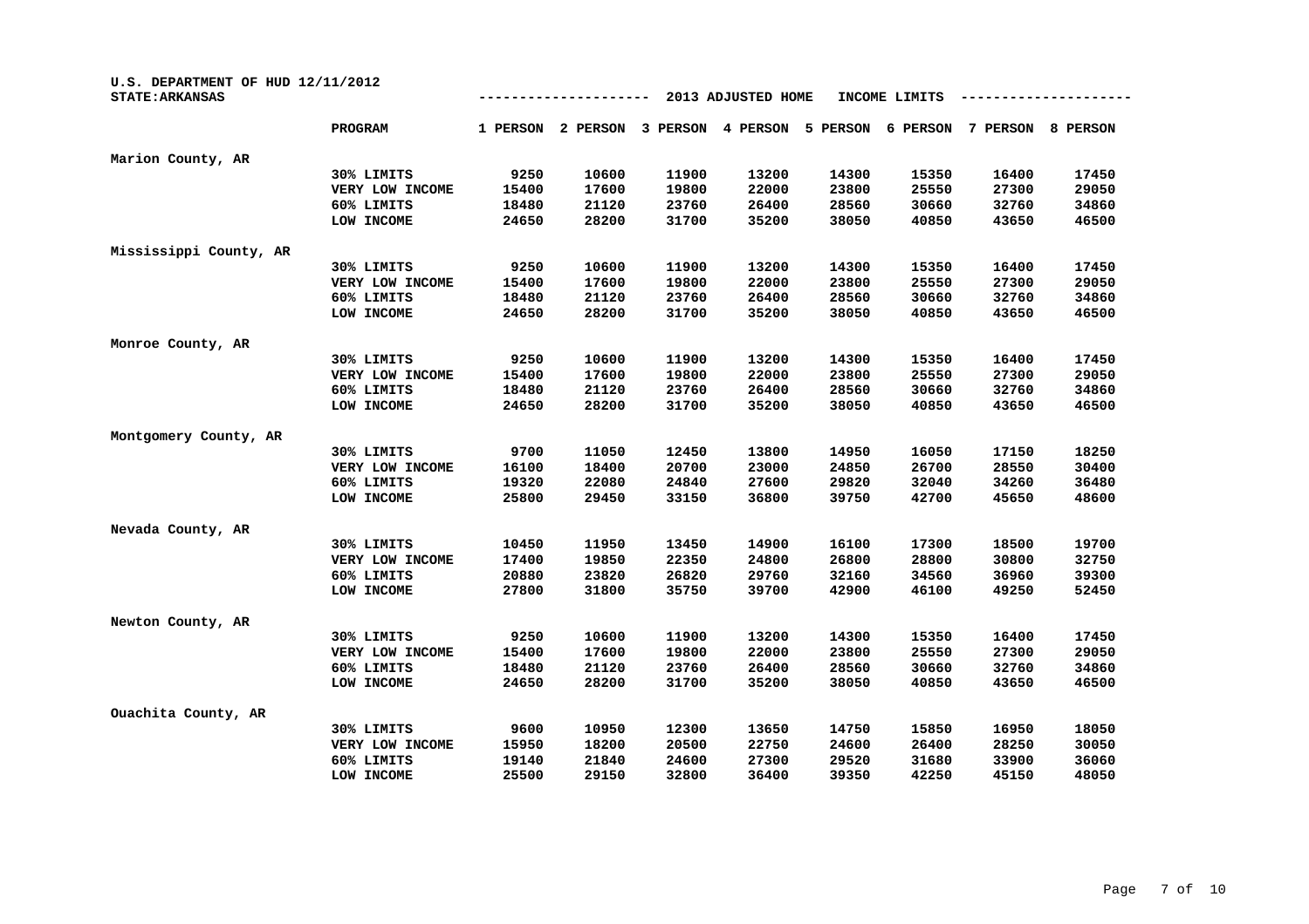| U.S. DEPARTMENT OF HUD 12/11/2012<br><b>STATE: ARKANSAS</b> |                 |          |          | INCOME LIMITS |          |          |          |          |          |
|-------------------------------------------------------------|-----------------|----------|----------|---------------|----------|----------|----------|----------|----------|
|                                                             | PROGRAM         | 1 PERSON | 2 PERSON | 3 PERSON      | 4 PERSON | 5 PERSON | 6 PERSON | 7 PERSON | 8 PERSON |
| Marion County, AR                                           |                 |          |          |               |          |          |          |          |          |
|                                                             | 30% LIMITS      | 9250     | 10600    | 11900         | 13200    | 14300    | 15350    | 16400    | 17450    |
|                                                             | VERY LOW INCOME | 15400    | 17600    | 19800         | 22000    | 23800    | 25550    | 27300    | 29050    |
|                                                             | 60% LIMITS      | 18480    | 21120    | 23760         | 26400    | 28560    | 30660    | 32760    | 34860    |
|                                                             | LOW INCOME      | 24650    | 28200    | 31700         | 35200    | 38050    | 40850    | 43650    | 46500    |
| Mississippi County, AR                                      |                 |          |          |               |          |          |          |          |          |
|                                                             | 30% LIMITS      | 9250     | 10600    | 11900         | 13200    | 14300    | 15350    | 16400    | 17450    |
|                                                             | VERY LOW INCOME | 15400    | 17600    | 19800         | 22000    | 23800    | 25550    | 27300    | 29050    |
|                                                             | 60% LIMITS      | 18480    | 21120    | 23760         | 26400    | 28560    | 30660    | 32760    | 34860    |
|                                                             | LOW INCOME      | 24650    | 28200    | 31700         | 35200    | 38050    | 40850    | 43650    | 46500    |
| Monroe County, AR                                           |                 |          |          |               |          |          |          |          |          |
|                                                             | 30% LIMITS      | 9250     | 10600    | 11900         | 13200    | 14300    | 15350    | 16400    | 17450    |
|                                                             | VERY LOW INCOME | 15400    | 17600    | 19800         | 22000    | 23800    | 25550    | 27300    | 29050    |
|                                                             | 60% LIMITS      | 18480    | 21120    | 23760         | 26400    | 28560    | 30660    | 32760    | 34860    |
|                                                             | LOW INCOME      | 24650    | 28200    | 31700         | 35200    | 38050    | 40850    | 43650    | 46500    |
| Montgomery County, AR                                       |                 |          |          |               |          |          |          |          |          |
|                                                             | 30% LIMITS      | 9700     | 11050    | 12450         | 13800    | 14950    | 16050    | 17150    | 18250    |
|                                                             | VERY LOW INCOME | 16100    | 18400    | 20700         | 23000    | 24850    | 26700    | 28550    | 30400    |
|                                                             | 60% LIMITS      | 19320    | 22080    | 24840         | 27600    | 29820    | 32040    | 34260    | 36480    |
|                                                             | LOW INCOME      | 25800    | 29450    | 33150         | 36800    | 39750    | 42700    | 45650    | 48600    |
| Nevada County, AR                                           |                 |          |          |               |          |          |          |          |          |
|                                                             | 30% LIMITS      | 10450    | 11950    | 13450         | 14900    | 16100    | 17300    | 18500    | 19700    |
|                                                             | VERY LOW INCOME | 17400    | 19850    | 22350         | 24800    | 26800    | 28800    | 30800    | 32750    |
|                                                             | 60% LIMITS      | 20880    | 23820    | 26820         | 29760    | 32160    | 34560    | 36960    | 39300    |
|                                                             | LOW INCOME      | 27800    | 31800    | 35750         | 39700    | 42900    | 46100    | 49250    | 52450    |
| Newton County, AR                                           |                 |          |          |               |          |          |          |          |          |
|                                                             | 30% LIMITS      | 9250     | 10600    | 11900         | 13200    | 14300    | 15350    | 16400    | 17450    |
|                                                             | VERY LOW INCOME | 15400    | 17600    | 19800         | 22000    | 23800    | 25550    | 27300    | 29050    |
|                                                             | 60% LIMITS      | 18480    | 21120    | 23760         | 26400    | 28560    | 30660    | 32760    | 34860    |
|                                                             | LOW INCOME      | 24650    | 28200    | 31700         | 35200    | 38050    | 40850    | 43650    | 46500    |
| Ouachita County, AR                                         |                 |          |          |               |          |          |          |          |          |
|                                                             | 30% LIMITS      | 9600     | 10950    | 12300         | 13650    | 14750    | 15850    | 16950    | 18050    |
|                                                             | VERY LOW INCOME | 15950    | 18200    | 20500         | 22750    | 24600    | 26400    | 28250    | 30050    |
|                                                             | 60% LIMITS      | 19140    | 21840    | 24600         | 27300    | 29520    | 31680    | 33900    | 36060    |
|                                                             | LOW INCOME      | 25500    | 29150    | 32800         | 36400    | 39350    | 42250    | 45150    | 48050    |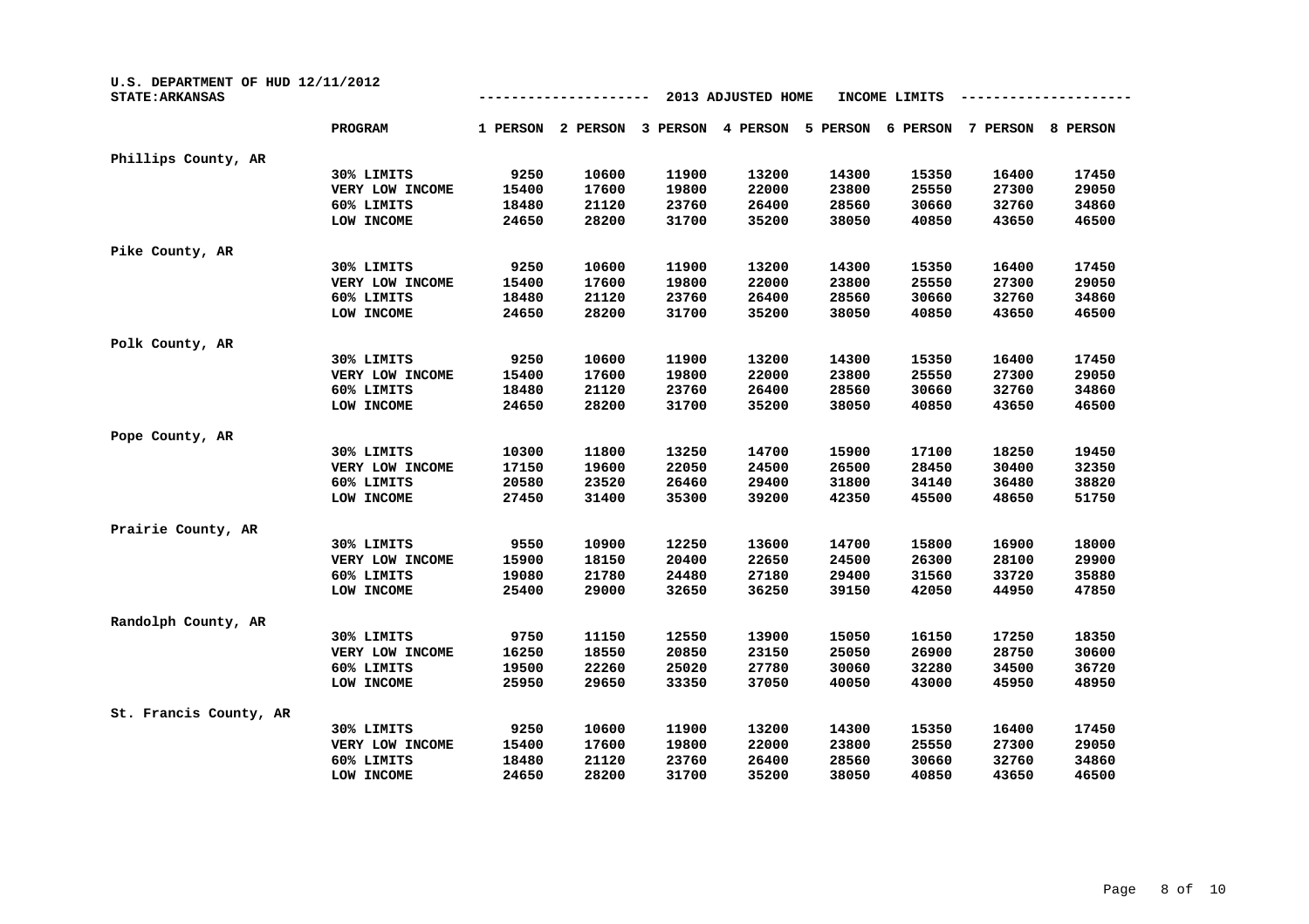| U.S. DEPARTMENT OF HUD 12/11/2012<br><b>STATE: ARKANSAS</b> | 2013 ADJUSTED HOME<br>INCOME LIMITS |          |          |          |          |          |          |          |          |  |
|-------------------------------------------------------------|-------------------------------------|----------|----------|----------|----------|----------|----------|----------|----------|--|
|                                                             | <b>PROGRAM</b>                      | 1 PERSON | 2 PERSON | 3 PERSON | 4 PERSON | 5 PERSON | 6 PERSON | 7 PERSON | 8 PERSON |  |
| Phillips County, AR                                         |                                     |          |          |          |          |          |          |          |          |  |
|                                                             | 30% LIMITS                          | 9250     | 10600    | 11900    | 13200    | 14300    | 15350    | 16400    | 17450    |  |
|                                                             | VERY LOW INCOME                     | 15400    | 17600    | 19800    | 22000    | 23800    | 25550    | 27300    | 29050    |  |
|                                                             | 60% LIMITS                          | 18480    | 21120    | 23760    | 26400    | 28560    | 30660    | 32760    | 34860    |  |
|                                                             | LOW INCOME                          | 24650    | 28200    | 31700    | 35200    | 38050    | 40850    | 43650    | 46500    |  |
| Pike County, AR                                             |                                     |          |          |          |          |          |          |          |          |  |
|                                                             | 30% LIMITS                          | 9250     | 10600    | 11900    | 13200    | 14300    | 15350    | 16400    | 17450    |  |
|                                                             | VERY LOW INCOME                     | 15400    | 17600    | 19800    | 22000    | 23800    | 25550    | 27300    | 29050    |  |
|                                                             | 60% LIMITS                          | 18480    | 21120    | 23760    | 26400    | 28560    | 30660    | 32760    | 34860    |  |
|                                                             | LOW INCOME                          | 24650    | 28200    | 31700    | 35200    | 38050    | 40850    | 43650    | 46500    |  |
| Polk County, AR                                             |                                     |          |          |          |          |          |          |          |          |  |
|                                                             | 30% LIMITS                          | 9250     | 10600    | 11900    | 13200    | 14300    | 15350    | 16400    | 17450    |  |
|                                                             | VERY LOW INCOME                     | 15400    | 17600    | 19800    | 22000    | 23800    | 25550    | 27300    | 29050    |  |
|                                                             | 60% LIMITS                          | 18480    | 21120    | 23760    | 26400    | 28560    | 30660    | 32760    | 34860    |  |
|                                                             | LOW INCOME                          | 24650    | 28200    | 31700    | 35200    | 38050    | 40850    | 43650    | 46500    |  |
| Pope County, AR                                             |                                     |          |          |          |          |          |          |          |          |  |
|                                                             | 30% LIMITS                          | 10300    | 11800    | 13250    | 14700    | 15900    | 17100    | 18250    | 19450    |  |
|                                                             | VERY LOW INCOME                     | 17150    | 19600    | 22050    | 24500    | 26500    | 28450    | 30400    | 32350    |  |
|                                                             | 60% LIMITS                          | 20580    | 23520    | 26460    | 29400    | 31800    | 34140    | 36480    | 38820    |  |
|                                                             | LOW INCOME                          | 27450    | 31400    | 35300    | 39200    | 42350    | 45500    | 48650    | 51750    |  |
| Prairie County, AR                                          |                                     |          |          |          |          |          |          |          |          |  |
|                                                             | 30% LIMITS                          | 9550     | 10900    | 12250    | 13600    | 14700    | 15800    | 16900    | 18000    |  |
|                                                             | VERY LOW INCOME                     | 15900    | 18150    | 20400    | 22650    | 24500    | 26300    | 28100    | 29900    |  |
|                                                             | 60% LIMITS                          | 19080    | 21780    | 24480    | 27180    | 29400    | 31560    | 33720    | 35880    |  |
|                                                             | LOW INCOME                          | 25400    | 29000    | 32650    | 36250    | 39150    | 42050    | 44950    | 47850    |  |
| Randolph County, AR                                         |                                     |          |          |          |          |          |          |          |          |  |
|                                                             | 30% LIMITS                          | 9750     | 11150    | 12550    | 13900    | 15050    | 16150    | 17250    | 18350    |  |
|                                                             | VERY LOW INCOME                     | 16250    | 18550    | 20850    | 23150    | 25050    | 26900    | 28750    | 30600    |  |
|                                                             | 60% LIMITS                          | 19500    | 22260    | 25020    | 27780    | 30060    | 32280    | 34500    | 36720    |  |
|                                                             | LOW INCOME                          | 25950    | 29650    | 33350    | 37050    | 40050    | 43000    | 45950    | 48950    |  |
| St. Francis County, AR                                      |                                     |          |          |          |          |          |          |          |          |  |
|                                                             | 30% LIMITS                          | 9250     | 10600    | 11900    | 13200    | 14300    | 15350    | 16400    | 17450    |  |
|                                                             | VERY LOW INCOME                     | 15400    | 17600    | 19800    | 22000    | 23800    | 25550    | 27300    | 29050    |  |
|                                                             | 60% LIMITS                          | 18480    | 21120    | 23760    | 26400    | 28560    | 30660    | 32760    | 34860    |  |
|                                                             | LOW INCOME                          | 24650    | 28200    | 31700    | 35200    | 38050    | 40850    | 43650    | 46500    |  |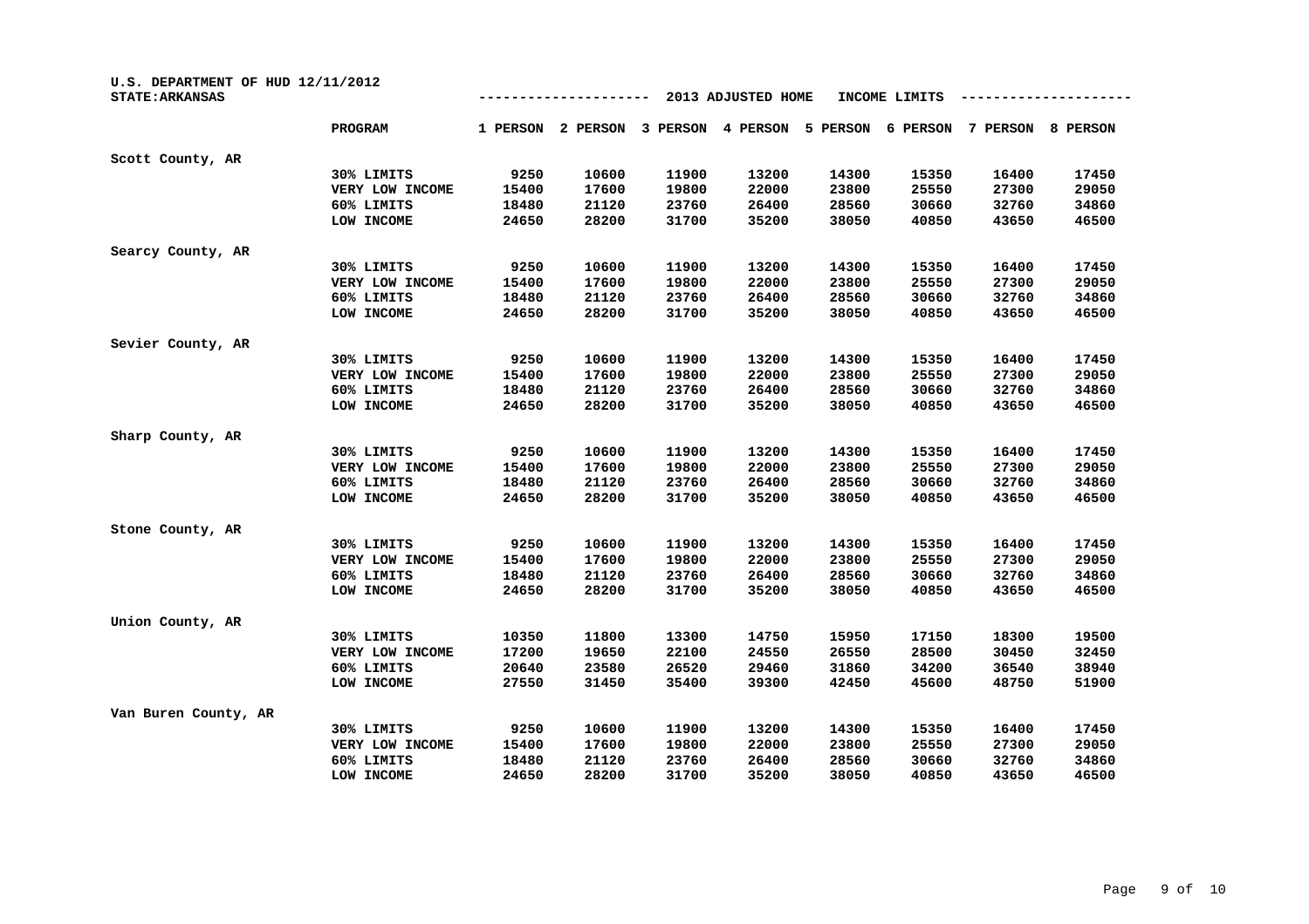| U.S. DEPARTMENT OF HUD 12/11/2012<br><b>STATE: ARKANSAS</b> |                 |          |          |          | 2013 ADJUSTED HOME |          | INCOME LIMITS |          |          |
|-------------------------------------------------------------|-----------------|----------|----------|----------|--------------------|----------|---------------|----------|----------|
|                                                             | PROGRAM         | 1 PERSON | 2 PERSON | 3 PERSON | 4 PERSON           | 5 PERSON | 6 PERSON      | 7 PERSON | 8 PERSON |
| Scott County, AR                                            |                 |          |          |          |                    |          |               |          |          |
|                                                             | 30% LIMITS      | 9250     | 10600    | 11900    | 13200              | 14300    | 15350         | 16400    | 17450    |
|                                                             | VERY LOW INCOME | 15400    | 17600    | 19800    | 22000              | 23800    | 25550         | 27300    | 29050    |
|                                                             | 60% LIMITS      | 18480    | 21120    | 23760    | 26400              | 28560    | 30660         | 32760    | 34860    |
|                                                             | LOW INCOME      | 24650    | 28200    | 31700    | 35200              | 38050    | 40850         | 43650    | 46500    |
| Searcy County, AR                                           |                 |          |          |          |                    |          |               |          |          |
|                                                             | 30% LIMITS      | 9250     | 10600    | 11900    | 13200              | 14300    | 15350         | 16400    | 17450    |
|                                                             | VERY LOW INCOME | 15400    | 17600    | 19800    | 22000              | 23800    | 25550         | 27300    | 29050    |
|                                                             | 60% LIMITS      | 18480    | 21120    | 23760    | 26400              | 28560    | 30660         | 32760    | 34860    |
|                                                             | LOW INCOME      | 24650    | 28200    | 31700    | 35200              | 38050    | 40850         | 43650    | 46500    |
| Sevier County, AR                                           |                 |          |          |          |                    |          |               |          |          |
|                                                             | 30% LIMITS      | 9250     | 10600    | 11900    | 13200              | 14300    | 15350         | 16400    | 17450    |
|                                                             | VERY LOW INCOME | 15400    | 17600    | 19800    | 22000              | 23800    | 25550         | 27300    | 29050    |
|                                                             | 60% LIMITS      | 18480    | 21120    | 23760    | 26400              | 28560    | 30660         | 32760    | 34860    |
|                                                             | LOW INCOME      | 24650    | 28200    | 31700    | 35200              | 38050    | 40850         | 43650    | 46500    |
| Sharp County, AR                                            |                 |          |          |          |                    |          |               |          |          |
|                                                             | 30% LIMITS      | 9250     | 10600    | 11900    | 13200              | 14300    | 15350         | 16400    | 17450    |
|                                                             | VERY LOW INCOME | 15400    | 17600    | 19800    | 22000              | 23800    | 25550         | 27300    | 29050    |
|                                                             | 60% LIMITS      | 18480    | 21120    | 23760    | 26400              | 28560    | 30660         | 32760    | 34860    |
|                                                             | LOW INCOME      | 24650    | 28200    | 31700    | 35200              | 38050    | 40850         | 43650    | 46500    |
| Stone County, AR                                            |                 |          |          |          |                    |          |               |          |          |
|                                                             | 30% LIMITS      | 9250     | 10600    | 11900    | 13200              | 14300    | 15350         | 16400    | 17450    |
|                                                             | VERY LOW INCOME | 15400    | 17600    | 19800    | 22000              | 23800    | 25550         | 27300    | 29050    |
|                                                             | 60% LIMITS      | 18480    | 21120    | 23760    | 26400              | 28560    | 30660         | 32760    | 34860    |
|                                                             | LOW INCOME      | 24650    | 28200    | 31700    | 35200              | 38050    | 40850         | 43650    | 46500    |
| Union County, AR                                            |                 |          |          |          |                    |          |               |          |          |
|                                                             | 30% LIMITS      | 10350    | 11800    | 13300    | 14750              | 15950    | 17150         | 18300    | 19500    |
|                                                             | VERY LOW INCOME | 17200    | 19650    | 22100    | 24550              | 26550    | 28500         | 30450    | 32450    |
|                                                             | 60% LIMITS      | 20640    | 23580    | 26520    | 29460              | 31860    | 34200         | 36540    | 38940    |
|                                                             | LOW INCOME      | 27550    | 31450    | 35400    | 39300              | 42450    | 45600         | 48750    | 51900    |
| Van Buren County, AR                                        |                 |          |          |          |                    |          |               |          |          |
|                                                             | 30% LIMITS      | 9250     | 10600    | 11900    | 13200              | 14300    | 15350         | 16400    | 17450    |
|                                                             | VERY LOW INCOME | 15400    | 17600    | 19800    | 22000              | 23800    | 25550         | 27300    | 29050    |
|                                                             | 60% LIMITS      | 18480    | 21120    | 23760    | 26400              | 28560    | 30660         | 32760    | 34860    |
|                                                             | LOW INCOME      | 24650    | 28200    | 31700    | 35200              | 38050    | 40850         | 43650    | 46500    |